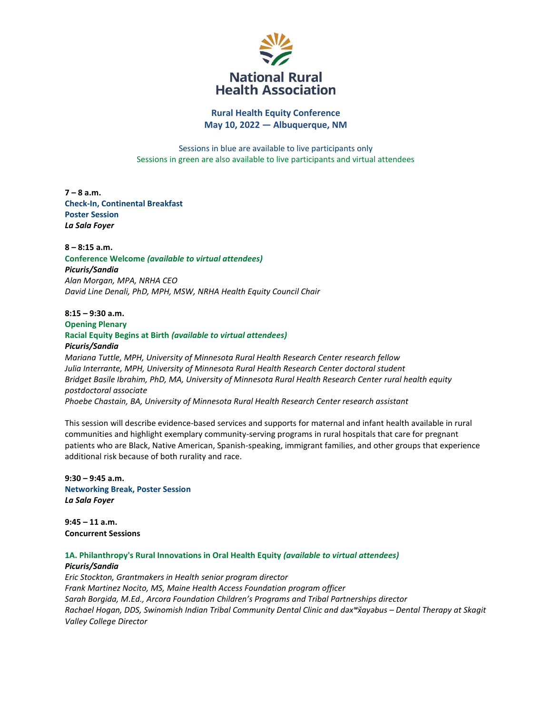

**Rural Health Equity Conference May 10, 2022 — Albuquerque, NM**

Sessions in blue are available to live participants only Sessions in green are also available to live participants and virtual attendees

**7 – 8 a.m. Check-In, Continental Breakfast Poster Session**  *La Sala Foyer*

**8 – 8:15 a.m. Conference Welcome** *(available to virtual attendees) Picuris/Sandia Alan Morgan, MPA, NRHA CEO David Line Denali, PhD, MPH, MSW, NRHA Health Equity Council Chair* 

# **8:15 – 9:30 a.m. Opening Plenary Racial Equity Begins at Birth** *(available to virtual attendees) Picuris/Sandia*

*Mariana Tuttle, MPH, University of Minnesota Rural Health Research Center research fellow Julia Interrante, MPH, University of Minnesota Rural Health Research Center doctoral student Bridget Basile Ibrahim, PhD, MA, University of Minnesota Rural Health Research Center rural health equity postdoctoral associate Phoebe Chastain, BA, University of Minnesota Rural Health Research Center research assistant* 

This session will describe evidence-based services and supports for maternal and infant health available in rural communities and highlight exemplary community-serving programs in rural hospitals that care for pregnant patients who are Black, Native American, Spanish-speaking, immigrant families, and other groups that experience additional risk because of both rurality and race.

**9:30 – 9:45 a.m. Networking Break, Poster Session**  *La Sala Foyer*

**9:45 – 11 a.m. Concurrent Sessions** 

**1A. Philanthropy's Rural Innovations in Oral Health Equity** *(available to virtual attendees) Picuris/Sandia*

*Eric Stockton, Grantmakers in Health senior program director Frank Martinez Nocito, MS, Maine Health Access Foundation program officer Sarah Borgida, M.Ed., Arcora Foundation Children's Programs and Tribal Partnerships director Rachael Hogan, DDS, Swinomish Indian Tribal Community Dental Clinic and dəxʷxay̌ əbus – Dental Therapy at Skagit Valley College Director*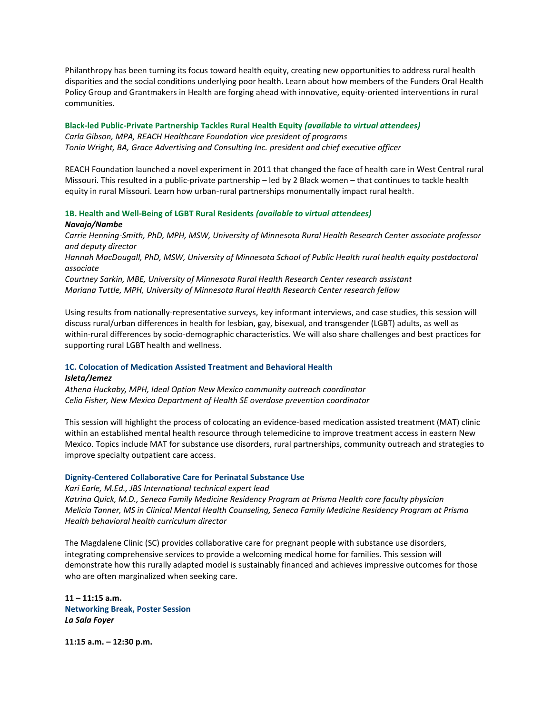Philanthropy has been turning its focus toward health equity, creating new opportunities to address rural health disparities and the social conditions underlying poor health. Learn about how members of the Funders Oral Health Policy Group and Grantmakers in Health are forging ahead with innovative, equity-oriented interventions in rural communities.

# **Black-led Public-Private Partnership Tackles Rural Health Equity** *(available to virtual attendees) Carla Gibson, MPA, REACH Healthcare Foundation vice president of programs Tonia Wright, BA, Grace Advertising and Consulting Inc. president and chief executive officer*

REACH Foundation launched a novel experiment in 2011 that changed the face of health care in West Central rural Missouri. This resulted in a public-private partnership – led by 2 Black women – that continues to tackle health equity in rural Missouri. Learn how urban-rural partnerships monumentally impact rural health.

## **1B. Health and Well-Being of LGBT Rural Residents** *(available to virtual attendees)*

#### *Navajo/Nambe*

*Carrie Henning-Smith, PhD, MPH, MSW, University of Minnesota Rural Health Research Center associate professor and deputy director* 

*Hannah MacDougall, PhD, MSW, University of Minnesota School of Public Health rural health equity postdoctoral associate*

*Courtney Sarkin, MBE, University of Minnesota Rural Health Research Center research assistant Mariana Tuttle, MPH, University of Minnesota Rural Health Research Center research fellow*

Using results from nationally-representative surveys, key informant interviews, and case studies, this session will discuss rural/urban differences in health for lesbian, gay, bisexual, and transgender (LGBT) adults, as well as within-rural differences by socio-demographic characteristics. We will also share challenges and best practices for supporting rural LGBT health and wellness.

## **1C. Colocation of Medication Assisted Treatment and Behavioral Health**

#### *Isleta/Jemez*

*Athena Huckaby, MPH, Ideal Option New Mexico community outreach coordinator Celia Fisher, New Mexico Department of Health SE overdose prevention coordinator*

This session will highlight the process of colocating an evidence-based medication assisted treatment (MAT) clinic within an established mental health resource through telemedicine to improve treatment access in eastern New Mexico. Topics include MAT for substance use disorders, rural partnerships, community outreach and strategies to improve specialty outpatient care access.

#### **Dignity-Centered Collaborative Care for Perinatal Substance Use**

*Kari Earle, M.Ed., JBS International technical expert lead Katrina Quick, M.D., Seneca Family Medicine Residency Program at Prisma Health core faculty physician Melicia Tanner, MS in Clinical Mental Health Counseling, Seneca Family Medicine Residency Program at Prisma Health behavioral health curriculum director* 

The Magdalene Clinic (SC) provides collaborative care for pregnant people with substance use disorders, integrating comprehensive services to provide a welcoming medical home for families. This session will demonstrate how this rurally adapted model is sustainably financed and achieves impressive outcomes for those who are often marginalized when seeking care.

**11 – 11:15 a.m. Networking Break, Poster Session**  *La Sala Foyer*

**11:15 a.m. – 12:30 p.m.**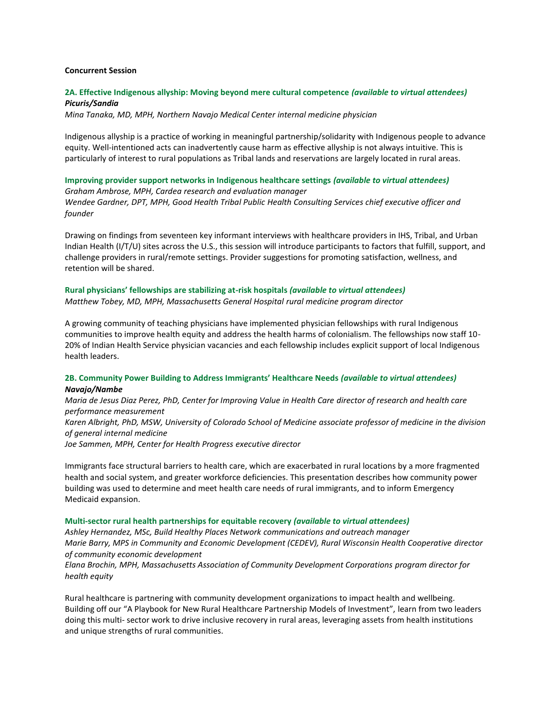### **Concurrent Session**

# **2A. Effective Indigenous allyship: Moving beyond mere cultural competence** *(available to virtual attendees) Picuris/Sandia*

*Mina Tanaka, MD, MPH, Northern Navajo Medical Center internal medicine physician* 

Indigenous allyship is a practice of working in meaningful partnership/solidarity with Indigenous people to advance equity. Well-intentioned acts can inadvertently cause harm as effective allyship is not always intuitive. This is particularly of interest to rural populations as Tribal lands and reservations are largely located in rural areas.

**Improving provider support networks in Indigenous healthcare settings** *(available to virtual attendees) Graham Ambrose, MPH, Cardea research and evaluation manager Wendee Gardner, DPT, MPH, Good Health Tribal Public Health Consulting Services chief executive officer and founder* 

Drawing on findings from seventeen key informant interviews with healthcare providers in IHS, Tribal, and Urban Indian Health (I/T/U) sites across the U.S., this session will introduce participants to factors that fulfill, support, and challenge providers in rural/remote settings. Provider suggestions for promoting satisfaction, wellness, and retention will be shared.

# **Rural physicians' fellowships are stabilizing at-risk hospitals** *(available to virtual attendees) Matthew Tobey, MD, MPH, Massachusetts General Hospital rural medicine program director*

A growing community of teaching physicians have implemented physician fellowships with rural Indigenous communities to improve health equity and address the health harms of colonialism. The fellowships now staff 10- 20% of Indian Health Service physician vacancies and each fellowship includes explicit support of local Indigenous health leaders.

## **2B. Community Power Building to Address Immigrants' Healthcare Needs** *(available to virtual attendees) Navajo/Nambe*

*Maria de Jesus Diaz Perez, PhD, Center for Improving Value in Health Care director of research and health care performance measurement Karen Albright, PhD, MSW, University of Colorado School of Medicine associate professor of medicine in the division of general internal medicine Joe Sammen, MPH, Center for Health Progress executive director* 

Immigrants face structural barriers to health care, which are exacerbated in rural locations by a more fragmented health and social system, and greater workforce deficiencies. This presentation describes how community power building was used to determine and meet health care needs of rural immigrants, and to inform Emergency Medicaid expansion.

#### **Multi-sector rural health partnerships for equitable recovery** *(available to virtual attendees)*

*Ashley Hernandez, MSc, Build Healthy Places Network communications and outreach manager Marie Barry, MPS in Community and Economic Development (CEDEV), Rural Wisconsin Health Cooperative director of community economic development* 

# *Elana Brochin, MPH, Massachusetts Association of Community Development Corporations program director for health equity*

Rural healthcare is partnering with community development organizations to impact health and wellbeing. Building off our "A Playbook for New Rural Healthcare Partnership Models of Investment", learn from two leaders doing this multi- sector work to drive inclusive recovery in rural areas, leveraging assets from health institutions and unique strengths of rural communities.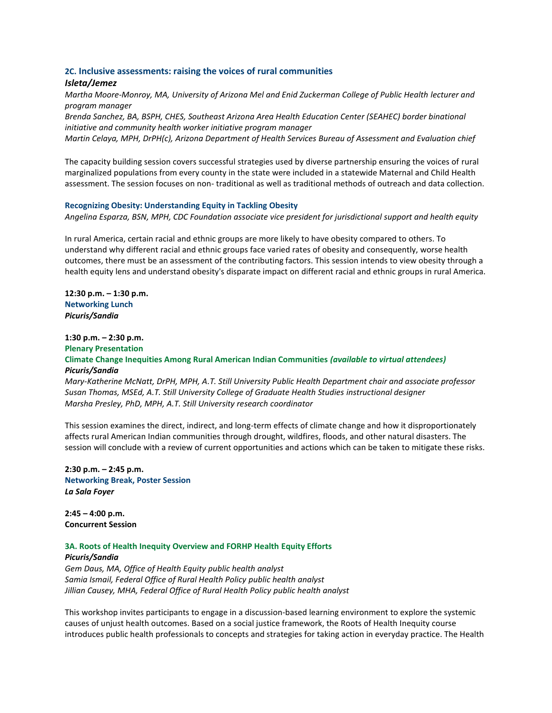## **2C. Inclusive assessments: raising the voices of rural communities**

# *Isleta/Jemez*

*Martha Moore-Monroy, MA, University of Arizona Mel and Enid Zuckerman College of Public Health lecturer and program manager* 

*Brenda Sanchez, BA, BSPH, CHES, Southeast Arizona Area Health Education Center (SEAHEC) border binational initiative and community health worker initiative program manager*

*Martin Celaya, MPH, DrPH(c), Arizona Department of Health Services Bureau of Assessment and Evaluation chief* 

The capacity building session covers successful strategies used by diverse partnership ensuring the voices of rural marginalized populations from every county in the state were included in a statewide Maternal and Child Health assessment. The session focuses on non- traditional as well as traditional methods of outreach and data collection.

#### **Recognizing Obesity: Understanding Equity in Tackling Obesity**

*Angelina Esparza, BSN, MPH, CDC Foundation associate vice president for jurisdictional support and health equity* 

In rural America, certain racial and ethnic groups are more likely to have obesity compared to others. To understand why different racial and ethnic groups face varied rates of obesity and consequently, worse health outcomes, there must be an assessment of the contributing factors. This session intends to view obesity through a health equity lens and understand obesity's disparate impact on different racial and ethnic groups in rural America.

**12:30 p.m. – 1:30 p.m. Networking Lunch**  *Picuris/Sandia* 

# **1:30 p.m. – 2:30 p.m.**

## **Plenary Presentation Climate Change Inequities Among Rural American Indian Communities** *(available to virtual attendees) Picuris/Sandia*

*Mary-Katherine McNatt, DrPH, MPH, A.T. Still University Public Health Department chair and associate professor Susan Thomas, MSEd, A.T. Still University College of Graduate Health Studies instructional designer Marsha Presley, PhD, MPH, A.T. Still University research coordinator* 

This session examines the direct, indirect, and long-term effects of climate change and how it disproportionately affects rural American Indian communities through drought, wildfires, floods, and other natural disasters. The session will conclude with a review of current opportunities and actions which can be taken to mitigate these risks.

**2:30 p.m. – 2:45 p.m. Networking Break, Poster Session**  *La Sala Foyer*

**2:45 – 4:00 p.m. Concurrent Session** 

## **3A. Roots of Health Inequity Overview and FORHP Health Equity Efforts**

*Picuris/Sandia Gem Daus, MA, Office of Health Equity public health analyst Samia Ismail, Federal Office of Rural Health Policy public health analyst Jillian Causey, MHA, Federal Office of Rural Health Policy public health analyst* 

This workshop invites participants to engage in a discussion-based learning environment to explore the systemic causes of unjust health outcomes. Based on a social justice framework, the Roots of Health Inequity course introduces public health professionals to concepts and strategies for taking action in everyday practice. The Health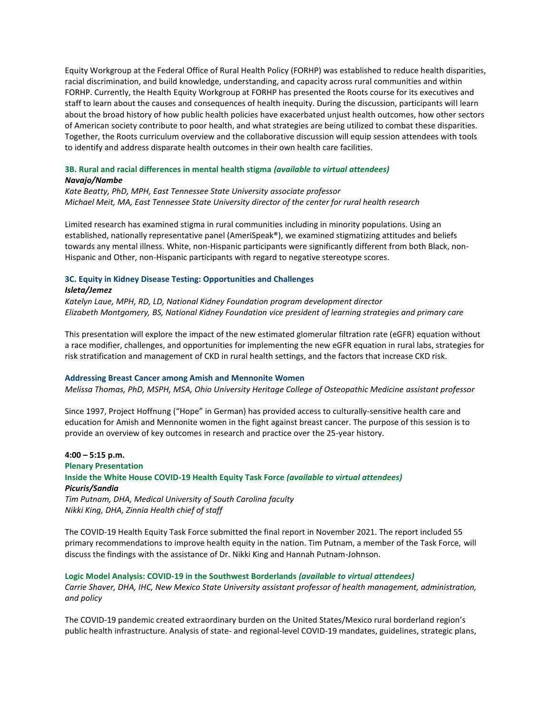Equity Workgroup at the Federal Office of Rural Health Policy (FORHP) was established to reduce health disparities, racial discrimination, and build knowledge, understanding, and capacity across rural communities and within FORHP. Currently, the Health Equity Workgroup at FORHP has presented the Roots course for its executives and staff to learn about the causes and consequences of health inequity. During the discussion, participants will learn about the broad history of how public health policies have exacerbated unjust health outcomes, how other sectors of American society contribute to poor health, and what strategies are being utilized to combat these disparities. Together, the Roots curriculum overview and the collaborative discussion will equip session attendees with tools to identify and address disparate health outcomes in their own health care facilities.

# **3B. Rural and racial differences in mental health stigma** *(available to virtual attendees)*

### *Navajo/Nambe*

*Kate Beatty, PhD, MPH, East Tennessee State University associate professor Michael Meit, MA, East Tennessee State University director of the center for rural health research* 

Limited research has examined stigma in rural communities including in minority populations. Using an established, nationally representative panel (AmeriSpeak®), we examined stigmatizing attitudes and beliefs towards any mental illness. White, non-Hispanic participants were significantly different from both Black, non-Hispanic and Other, non-Hispanic participants with regard to negative stereotype scores.

# **3C. Equity in Kidney Disease Testing: Opportunities and Challenges**

#### *Isleta/Jemez*

*Katelyn Laue, MPH, RD, LD, National Kidney Foundation program development director Elizabeth Montgomery, BS, National Kidney Foundation vice president of learning strategies and primary care* 

This presentation will explore the impact of the new estimated glomerular filtration rate (eGFR) equation without a race modifier, challenges, and opportunities for implementing the new eGFR equation in rural labs, strategies for risk stratification and management of CKD in rural health settings, and the factors that increase CKD risk.

## **Addressing Breast Cancer among Amish and Mennonite Women**

*Melissa Thomas, PhD, MSPH, MSA, Ohio University Heritage College of Osteopathic Medicine assistant professor*

Since 1997, Project Hoffnung ("Hope" in German) has provided access to culturally-sensitive health care and education for Amish and Mennonite women in the fight against breast cancer. The purpose of this session is to provide an overview of key outcomes in research and practice over the 25-year history.

**4:00 – 5:15 p.m. Plenary Presentation Inside the White House COVID-19 Health Equity Task Force** *(available to virtual attendees) Picuris/Sandia Tim Putnam, DHA, Medical University of South Carolina faculty Nikki King, DHA, Zinnia Health chief of staff*

The COVID-19 Health Equity Task Force submitted the final report in November 2021. The report included 55 primary recommendations to improve health equity in the nation. Tim Putnam, a member of the Task Force, will discuss the findings with the assistance of Dr. Nikki King and Hannah Putnam-Johnson.

**Logic Model Analysis: COVID-19 in the Southwest Borderlands** *(available to virtual attendees) Carrie Shaver, DHA, IHC, New Mexico State University assistant professor of health management, administration, and policy* 

The COVID-19 pandemic created extraordinary burden on the United States/Mexico rural borderland region's public health infrastructure. Analysis of state- and regional-level COVID-19 mandates, guidelines, strategic plans,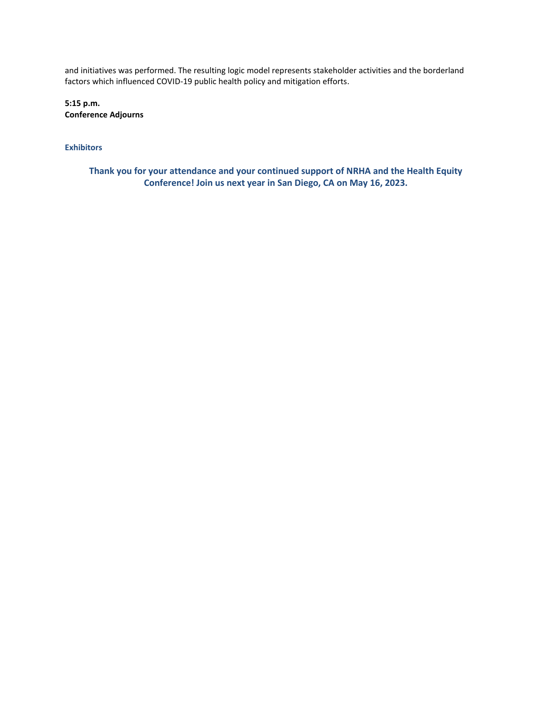and initiatives was performed. The resulting logic model represents stakeholder activities and the borderland factors which influenced COVID-19 public health policy and mitigation efforts.

**5:15 p.m. Conference Adjourns** 

**Exhibitors**

**Thank you for your attendance and your continued support of NRHA and the Health Equity Conference! Join us next year in San Diego, CA on May 16, 2023.**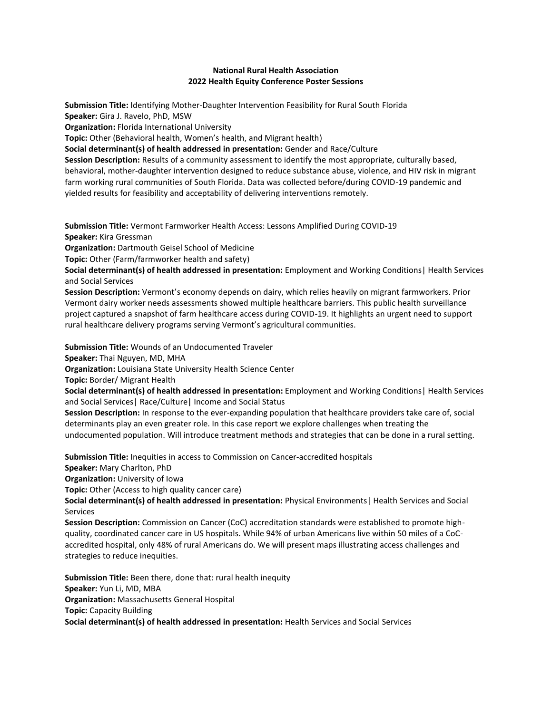# **National Rural Health Association 2022 Health Equity Conference Poster Sessions**

**Submission Title:** Identifying Mother-Daughter Intervention Feasibility for Rural South Florida **Speaker:** Gira J. Ravelo, PhD, MSW **Organization:** Florida International University

**Topic:** Other (Behavioral health, Women's health, and Migrant health)

**Social determinant(s) of health addressed in presentation:** Gender and Race/Culture

**Session Description:** Results of a community assessment to identify the most appropriate, culturally based, behavioral, mother-daughter intervention designed to reduce substance abuse, violence, and HIV risk in migrant farm working rural communities of South Florida. Data was collected before/during COVID-19 pandemic and yielded results for feasibility and acceptability of delivering interventions remotely.

**Submission Title:** Vermont Farmworker Health Access: Lessons Amplified During COVID-19 **Speaker:** Kira Gressman

**Organization:** Dartmouth Geisel School of Medicine

**Topic:** Other (Farm/farmworker health and safety)

**Social determinant(s) of health addressed in presentation:** Employment and Working Conditions| Health Services and Social Services

**Session Description:** Vermont's economy depends on dairy, which relies heavily on migrant farmworkers. Prior Vermont dairy worker needs assessments showed multiple healthcare barriers. This public health surveillance project captured a snapshot of farm healthcare access during COVID-19. It highlights an urgent need to support rural healthcare delivery programs serving Vermont's agricultural communities.

**Submission Title:** Wounds of an Undocumented Traveler

**Speaker:** Thai Nguyen, MD, MHA

**Organization:** Louisiana State University Health Science Center

**Topic:** Border/ Migrant Health

**Social determinant(s) of health addressed in presentation:** Employment and Working Conditions| Health Services and Social Services| Race/Culture| Income and Social Status

**Session Description:** In response to the ever-expanding population that healthcare providers take care of, social determinants play an even greater role. In this case report we explore challenges when treating the undocumented population. Will introduce treatment methods and strategies that can be done in a rural setting.

**Submission Title:** Inequities in access to Commission on Cancer-accredited hospitals

**Speaker:** Mary Charlton, PhD

**Organization:** University of Iowa

**Topic:** Other (Access to high quality cancer care)

**Social determinant(s) of health addressed in presentation:** Physical Environments| Health Services and Social Services

**Session Description:** Commission on Cancer (CoC) accreditation standards were established to promote highquality, coordinated cancer care in US hospitals. While 94% of urban Americans live within 50 miles of a CoCaccredited hospital, only 48% of rural Americans do. We will present maps illustrating access challenges and strategies to reduce inequities.

**Submission Title:** Been there, done that: rural health inequity **Speaker:** Yun Li, MD, MBA **Organization:** Massachusetts General Hospital **Topic:** Capacity Building **Social determinant(s) of health addressed in presentation:** Health Services and Social Services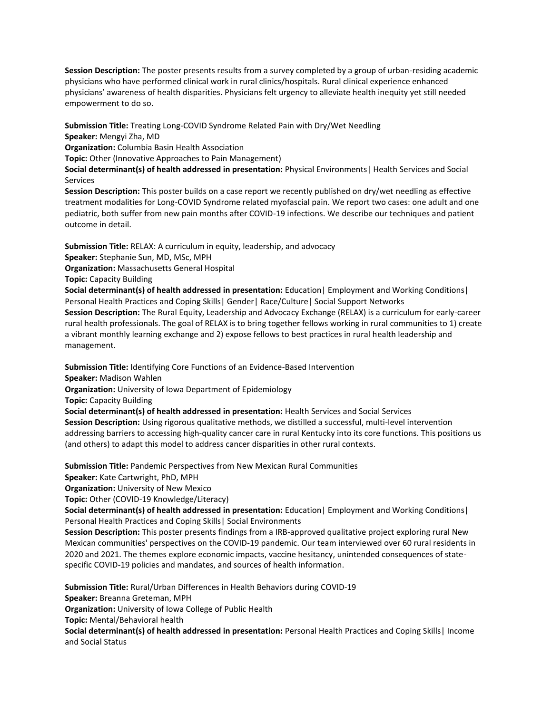**Session Description:** The poster presents results from a survey completed by a group of urban-residing academic physicians who have performed clinical work in rural clinics/hospitals. Rural clinical experience enhanced physicians' awareness of health disparities. Physicians felt urgency to alleviate health inequity yet still needed empowerment to do so.

**Submission Title:** Treating Long-COVID Syndrome Related Pain with Dry/Wet Needling **Speaker:** Mengyi Zha, MD

**Organization:** Columbia Basin Health Association

**Topic:** Other (Innovative Approaches to Pain Management)

**Social determinant(s) of health addressed in presentation:** Physical Environments| Health Services and Social Services

**Session Description:** This poster builds on a case report we recently published on dry/wet needling as effective treatment modalities for Long-COVID Syndrome related myofascial pain. We report two cases: one adult and one pediatric, both suffer from new pain months after COVID-19 infections. We describe our techniques and patient outcome in detail.

**Submission Title:** RELAX: A curriculum in equity, leadership, and advocacy

**Speaker:** Stephanie Sun, MD, MSc, MPH

**Organization:** Massachusetts General Hospital

**Topic:** Capacity Building

**Social determinant(s) of health addressed in presentation:** Education| Employment and Working Conditions| Personal Health Practices and Coping Skills| Gender| Race/Culture| Social Support Networks **Session Description:** The Rural Equity, Leadership and Advocacy Exchange (RELAX) is a curriculum for early-career rural health professionals. The goal of RELAX is to bring together fellows working in rural communities to 1) create a vibrant monthly learning exchange and 2) expose fellows to best practices in rural health leadership and management.

**Submission Title:** Identifying Core Functions of an Evidence-Based Intervention

**Speaker:** Madison Wahlen

**Organization:** University of Iowa Department of Epidemiology

**Topic:** Capacity Building

**Social determinant(s) of health addressed in presentation:** Health Services and Social Services

**Session Description:** Using rigorous qualitative methods, we distilled a successful, multi-level intervention addressing barriers to accessing high-quality cancer care in rural Kentucky into its core functions. This positions us (and others) to adapt this model to address cancer disparities in other rural contexts.

**Submission Title:** Pandemic Perspectives from New Mexican Rural Communities

**Speaker:** Kate Cartwright, PhD, MPH

**Organization:** University of New Mexico

**Topic:** Other (COVID-19 Knowledge/Literacy)

**Social determinant(s) of health addressed in presentation:** Education| Employment and Working Conditions| Personal Health Practices and Coping Skills| Social Environments

**Session Description:** This poster presents findings from a IRB-approved qualitative project exploring rural New Mexican communities' perspectives on the COVID-19 pandemic. Our team interviewed over 60 rural residents in 2020 and 2021. The themes explore economic impacts, vaccine hesitancy, unintended consequences of statespecific COVID-19 policies and mandates, and sources of health information.

**Submission Title:** Rural/Urban Differences in Health Behaviors during COVID-19

**Speaker:** Breanna Greteman, MPH

**Organization:** University of Iowa College of Public Health

**Topic:** Mental/Behavioral health

**Social determinant(s) of health addressed in presentation:** Personal Health Practices and Coping Skills| Income and Social Status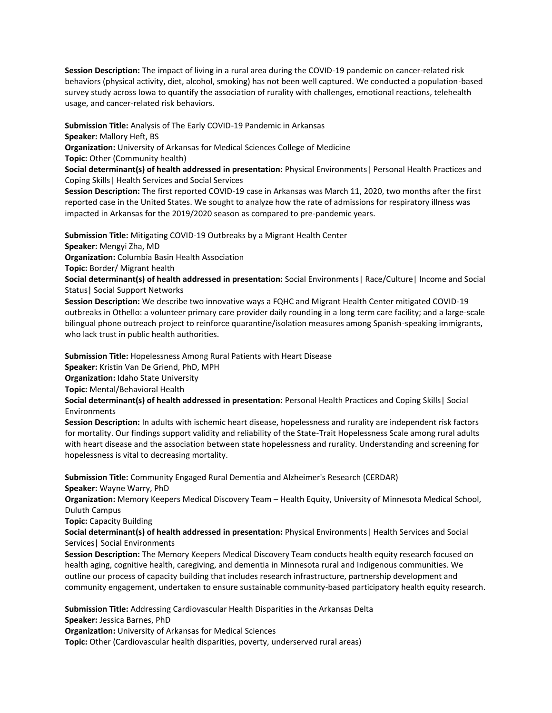**Session Description:** The impact of living in a rural area during the COVID-19 pandemic on cancer-related risk behaviors (physical activity, diet, alcohol, smoking) has not been well captured. We conducted a population-based survey study across Iowa to quantify the association of rurality with challenges, emotional reactions, telehealth usage, and cancer-related risk behaviors.

**Submission Title:** Analysis of The Early COVID-19 Pandemic in Arkansas **Speaker:** Mallory Heft, BS **Organization:** University of Arkansas for Medical Sciences College of Medicine

**Topic:** Other (Community health)

**Social determinant(s) of health addressed in presentation:** Physical Environments| Personal Health Practices and Coping Skills| Health Services and Social Services

**Session Description:** The first reported COVID-19 case in Arkansas was March 11, 2020, two months after the first reported case in the United States. We sought to analyze how the rate of admissions for respiratory illness was impacted in Arkansas for the 2019/2020 season as compared to pre-pandemic years.

**Submission Title:** Mitigating COVID-19 Outbreaks by a Migrant Health Center

**Speaker:** Mengyi Zha, MD

**Organization:** Columbia Basin Health Association

**Topic:** Border/ Migrant health

**Social determinant(s) of health addressed in presentation:** Social Environments| Race/Culture| Income and Social Status| Social Support Networks

**Session Description:** We describe two innovative ways a FQHC and Migrant Health Center mitigated COVID-19 outbreaks in Othello: a volunteer primary care provider daily rounding in a long term care facility; and a large-scale bilingual phone outreach project to reinforce quarantine/isolation measures among Spanish-speaking immigrants, who lack trust in public health authorities.

**Submission Title:** Hopelessness Among Rural Patients with Heart Disease

**Speaker:** Kristin Van De Griend, PhD, MPH

**Organization:** Idaho State University

**Topic:** Mental/Behavioral Health

**Social determinant(s) of health addressed in presentation:** Personal Health Practices and Coping Skills| Social Environments

**Session Description:** In adults with ischemic heart disease, hopelessness and rurality are independent risk factors for mortality. Our findings support validity and reliability of the State-Trait Hopelessness Scale among rural adults with heart disease and the association between state hopelessness and rurality. Understanding and screening for hopelessness is vital to decreasing mortality.

**Submission Title:** Community Engaged Rural Dementia and Alzheimer's Research (CERDAR) **Speaker:** Wayne Warry, PhD

**Organization:** Memory Keepers Medical Discovery Team – Health Equity, University of Minnesota Medical School, Duluth Campus

**Topic:** Capacity Building

**Social determinant(s) of health addressed in presentation:** Physical Environments| Health Services and Social Services| Social Environments

**Session Description:** The Memory Keepers Medical Discovery Team conducts health equity research focused on health aging, cognitive health, caregiving, and dementia in Minnesota rural and Indigenous communities. We outline our process of capacity building that includes research infrastructure, partnership development and community engagement, undertaken to ensure sustainable community-based participatory health equity research.

**Submission Title:** Addressing Cardiovascular Health Disparities in the Arkansas Delta **Speaker:** Jessica Barnes, PhD

**Organization:** University of Arkansas for Medical Sciences

**Topic:** Other (Cardiovascular health disparities, poverty, underserved rural areas)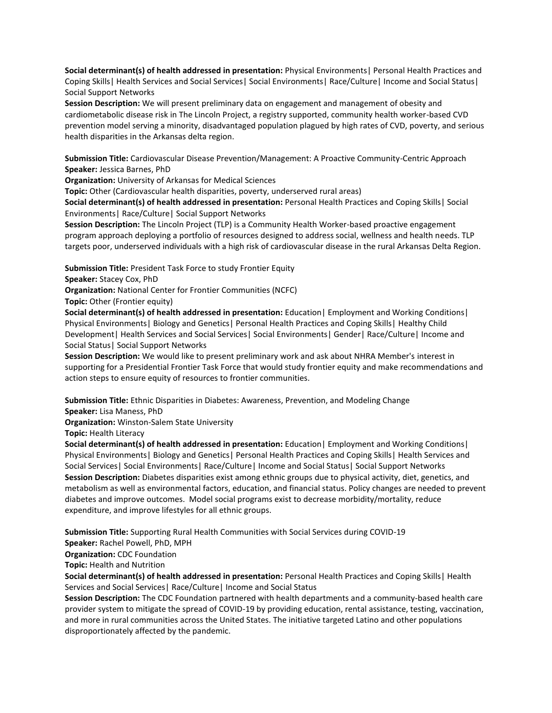**Social determinant(s) of health addressed in presentation:** Physical Environments| Personal Health Practices and Coping Skills| Health Services and Social Services| Social Environments| Race/Culture| Income and Social Status| Social Support Networks

**Session Description:** We will present preliminary data on engagement and management of obesity and cardiometabolic disease risk in The Lincoln Project, a registry supported, community health worker-based CVD prevention model serving a minority, disadvantaged population plagued by high rates of CVD, poverty, and serious health disparities in the Arkansas delta region.

**Submission Title:** Cardiovascular Disease Prevention/Management: A Proactive Community-Centric Approach **Speaker:** Jessica Barnes, PhD

**Organization:** University of Arkansas for Medical Sciences

**Topic:** Other (Cardiovascular health disparities, poverty, underserved rural areas)

**Social determinant(s) of health addressed in presentation:** Personal Health Practices and Coping Skills| Social Environments| Race/Culture| Social Support Networks

**Session Description:** The Lincoln Project (TLP) is a Community Health Worker-based proactive engagement program approach deploying a portfolio of resources designed to address social, wellness and health needs. TLP targets poor, underserved individuals with a high risk of cardiovascular disease in the rural Arkansas Delta Region.

**Submission Title:** President Task Force to study Frontier Equity

**Speaker:** Stacey Cox, PhD

**Organization:** National Center for Frontier Communities (NCFC)

**Topic:** Other (Frontier equity)

**Social determinant(s) of health addressed in presentation:** Education| Employment and Working Conditions| Physical Environments| Biology and Genetics| Personal Health Practices and Coping Skills| Healthy Child Development| Health Services and Social Services| Social Environments| Gender| Race/Culture| Income and Social Status| Social Support Networks

**Session Description:** We would like to present preliminary work and ask about NHRA Member's interest in supporting for a Presidential Frontier Task Force that would study frontier equity and make recommendations and action steps to ensure equity of resources to frontier communities.

**Submission Title:** Ethnic Disparities in Diabetes: Awareness, Prevention, and Modeling Change

**Speaker:** Lisa Maness, PhD

**Organization:** Winston-Salem State University

**Topic:** Health Literacy

**Social determinant(s) of health addressed in presentation:** Education| Employment and Working Conditions| Physical Environments| Biology and Genetics| Personal Health Practices and Coping Skills| Health Services and Social Services| Social Environments| Race/Culture| Income and Social Status| Social Support Networks **Session Description:** Diabetes disparities exist among ethnic groups due to physical activity, diet, genetics, and metabolism as well as environmental factors, education, and financial status. Policy changes are needed to prevent diabetes and improve outcomes. Model social programs exist to decrease morbidity/mortality, reduce expenditure, and improve lifestyles for all ethnic groups.

**Submission Title:** Supporting Rural Health Communities with Social Services during COVID-19

**Speaker:** Rachel Powell, PhD, MPH

**Organization:** CDC Foundation

**Topic:** Health and Nutrition

**Social determinant(s) of health addressed in presentation:** Personal Health Practices and Coping Skills| Health Services and Social Services| Race/Culture| Income and Social Status

**Session Description:** The CDC Foundation partnered with health departments and a community-based health care provider system to mitigate the spread of COVID-19 by providing education, rental assistance, testing, vaccination, and more in rural communities across the United States. The initiative targeted Latino and other populations disproportionately affected by the pandemic.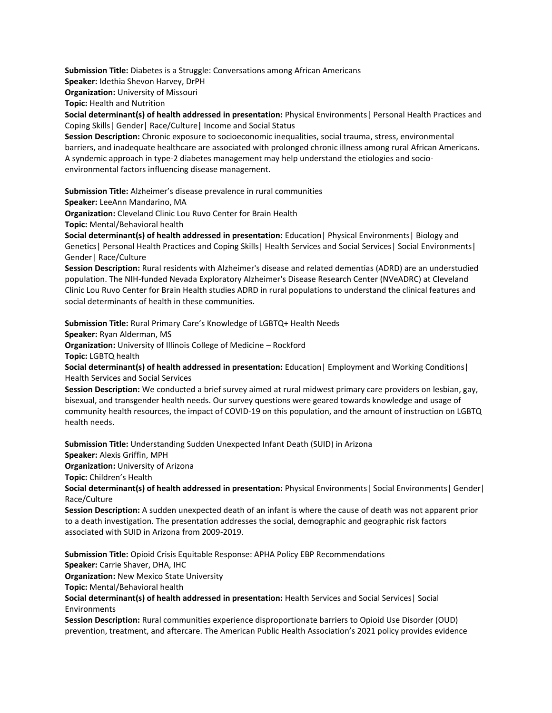**Submission Title:** Diabetes is a Struggle: Conversations among African Americans

**Speaker:** Idethia Shevon Harvey, DrPH

**Organization:** University of Missouri

**Topic:** Health and Nutrition

**Social determinant(s) of health addressed in presentation:** Physical Environments| Personal Health Practices and Coping Skills| Gender| Race/Culture| Income and Social Status

**Session Description:** Chronic exposure to socioeconomic inequalities, social trauma, stress, environmental barriers, and inadequate healthcare are associated with prolonged chronic illness among rural African Americans. A syndemic approach in type-2 diabetes management may help understand the etiologies and socioenvironmental factors influencing disease management.

**Submission Title:** Alzheimer's disease prevalence in rural communities

**Speaker:** LeeAnn Mandarino, MA

**Organization:** Cleveland Clinic Lou Ruvo Center for Brain Health

**Topic:** Mental/Behavioral health

**Social determinant(s) of health addressed in presentation:** Education| Physical Environments| Biology and Genetics | Personal Health Practices and Coping Skills | Health Services and Social Services | Social Environments | Gender| Race/Culture

**Session Description:** Rural residents with Alzheimer's disease and related dementias (ADRD) are an understudied population. The NIH-funded Nevada Exploratory Alzheimer's Disease Research Center (NVeADRC) at Cleveland Clinic Lou Ruvo Center for Brain Health studies ADRD in rural populations to understand the clinical features and social determinants of health in these communities.

**Submission Title:** Rural Primary Care's Knowledge of LGBTQ+ Health Needs

**Speaker:** Ryan Alderman, MS

**Organization:** University of Illinois College of Medicine – Rockford

**Topic:** LGBTQ health

**Social determinant(s) of health addressed in presentation:** Education| Employment and Working Conditions| Health Services and Social Services

**Session Description:** We conducted a brief survey aimed at rural midwest primary care providers on lesbian, gay, bisexual, and transgender health needs. Our survey questions were geared towards knowledge and usage of community health resources, the impact of COVID-19 on this population, and the amount of instruction on LGBTQ health needs.

**Submission Title:** Understanding Sudden Unexpected Infant Death (SUID) in Arizona **Speaker:** Alexis Griffin, MPH **Organization:** University of Arizona **Topic:** Children's Health

**Social determinant(s) of health addressed in presentation:** Physical Environments| Social Environments| Gender| Race/Culture

**Session Description:** A sudden unexpected death of an infant is where the cause of death was not apparent prior to a death investigation. The presentation addresses the social, demographic and geographic risk factors associated with SUID in Arizona from 2009-2019.

**Submission Title:** Opioid Crisis Equitable Response: APHA Policy EBP Recommendations **Speaker:** Carrie Shaver, DHA, IHC

**Organization:** New Mexico State University

**Topic:** Mental/Behavioral health

**Social determinant(s) of health addressed in presentation:** Health Services and Social Services| Social Environments

**Session Description:** Rural communities experience disproportionate barriers to Opioid Use Disorder (OUD) prevention, treatment, and aftercare. The American Public Health Association's 2021 policy provides evidence